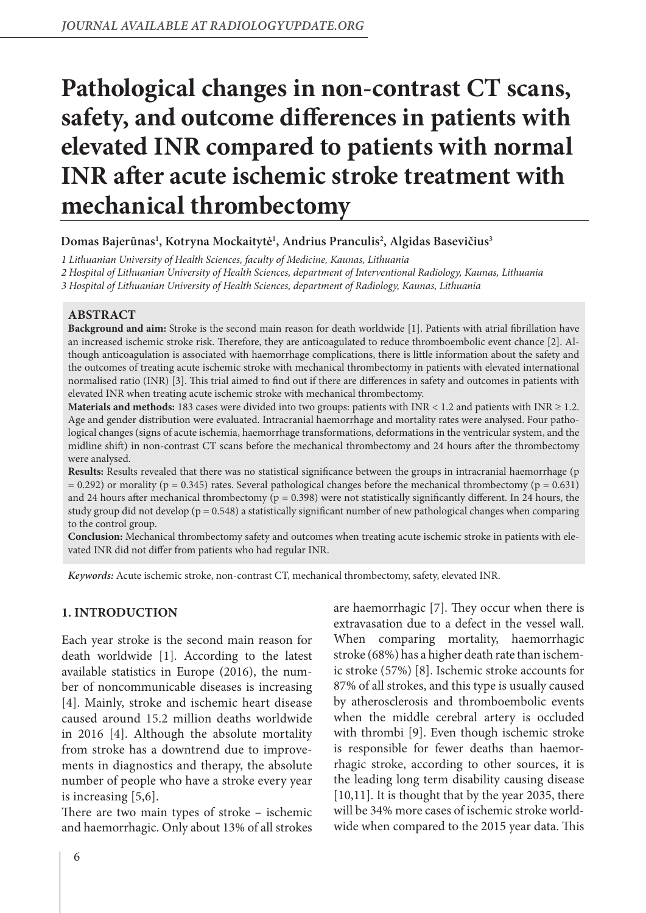# **Pathological changes in non-contrast CT scans, safety, and outcome differences in patients with elevated INR compared to patients with normal INR after acute ischemic stroke treatment with mechanical thrombectomy**

# **Domas Bajerūnas1 , Kotryna Mockaitytė1 , Andrius Pranculis2 , Algidas Basevičius3**

*1 Lithuanian University of Health Sciences, faculty of Medicine, Kaunas, Lithuania*

*2 Hospital of Lithuanian University of Health Sciences, department of Interventional Radiology, Kaunas, Lithuania*

*3 Hospital of Lithuanian University of Health Sciences, department of Radiology, Kaunas, Lithuania*

### **ABSTRACT**

**Background and aim:** Stroke is the second main reason for death worldwide [1]. Patients with atrial fibrillation have an increased ischemic stroke risk. Therefore, they are anticoagulated to reduce thromboembolic event chance [2]. Although anticoagulation is associated with haemorrhage complications, there is little information about the safety and the outcomes of treating acute ischemic stroke with mechanical thrombectomy in patients with elevated international normalised ratio (INR) [3]. This trial aimed to find out if there are differences in safety and outcomes in patients with elevated INR when treating acute ischemic stroke with mechanical thrombectomy.

**Materials and methods:** 183 cases were divided into two groups: patients with  $INR < 1.2$  and patients with  $INR \ge 1.2$ . Age and gender distribution were evaluated. Intracranial haemorrhage and mortality rates were analysed. Four pathological changes (signs of acute ischemia, haemorrhage transformations, deformations in the ventricular system, and the midline shift) in non-contrast CT scans before the mechanical thrombectomy and 24 hours after the thrombectomy were analysed.

**Results:** Results revealed that there was no statistical significance between the groups in intracranial haemorrhage (p  $= 0.292$ ) or morality (p  $= 0.345$ ) rates. Several pathological changes before the mechanical thrombectomy (p  $= 0.631$ ) and 24 hours after mechanical thrombectomy ( $p = 0.398$ ) were not statistically significantly different. In 24 hours, the study group did not develop ( $p = 0.548$ ) a statistically significant number of new pathological changes when comparing to the control group.

**Conclusion:** Mechanical thrombectomy safety and outcomes when treating acute ischemic stroke in patients with elevated INR did not differ from patients who had regular INR.

*Keywords:* Acute ischemic stroke, non-contrast CT, mechanical thrombectomy, safety, elevated INR.

### **1. INTRODUCTION**

Each year stroke is the second main reason for death worldwide [1]. According to the latest available statistics in Europe (2016), the number of noncommunicable diseases is increasing [4]. Mainly, stroke and ischemic heart disease caused around 15.2 million deaths worldwide in 2016 [4]. Although the absolute mortality from stroke has a downtrend due to improvements in diagnostics and therapy, the absolute number of people who have a stroke every year is increasing [5,6].

There are two main types of stroke – ischemic and haemorrhagic. Only about 13% of all strokes

are haemorrhagic [7]. They occur when there is extravasation due to a defect in the vessel wall. When comparing mortality, haemorrhagic stroke (68%) has a higher death rate than ischemic stroke (57%) [8]. Ischemic stroke accounts for 87% of all strokes, and this type is usually caused by atherosclerosis and thromboembolic events when the middle cerebral artery is occluded with thrombi [9]. Even though ischemic stroke is responsible for fewer deaths than haemorrhagic stroke, according to other sources, it is the leading long term disability causing disease [10,11]. It is thought that by the year 2035, there will be 34% more cases of ischemic stroke worldwide when compared to the 2015 year data. This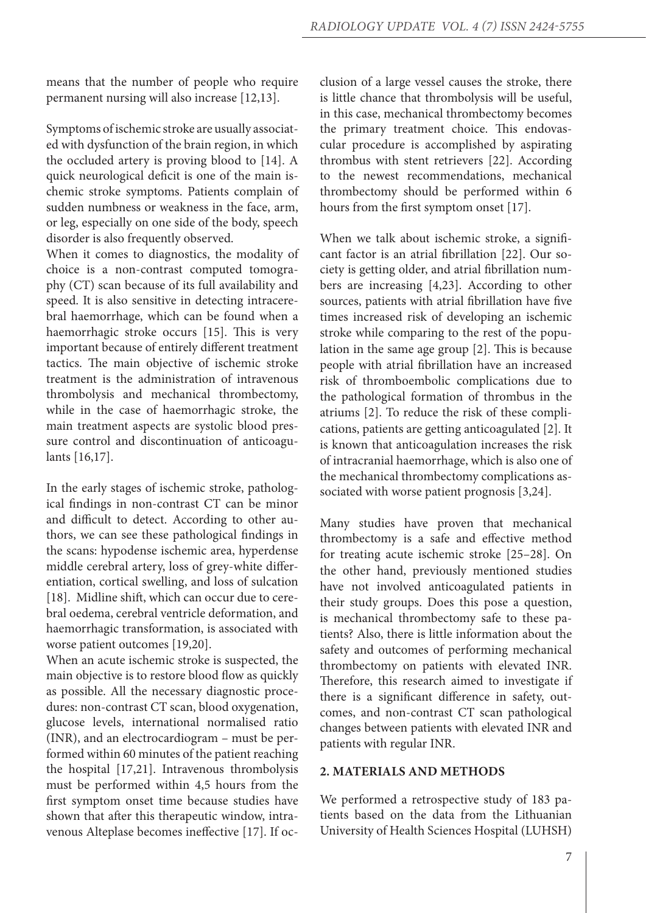means that the number of people who require permanent nursing will also increase [12,13].

Symptoms of ischemic stroke are usually associated with dysfunction of the brain region, in which the occluded artery is proving blood to [14]. A quick neurological deficit is one of the main ischemic stroke symptoms. Patients complain of sudden numbness or weakness in the face, arm, or leg, especially on one side of the body, speech disorder is also frequently observed.

When it comes to diagnostics, the modality of choice is a non-contrast computed tomography (CT) scan because of its full availability and speed. It is also sensitive in detecting intracerebral haemorrhage, which can be found when a haemorrhagic stroke occurs [15]. This is very important because of entirely different treatment tactics. The main objective of ischemic stroke treatment is the administration of intravenous thrombolysis and mechanical thrombectomy, while in the case of haemorrhagic stroke, the main treatment aspects are systolic blood pressure control and discontinuation of anticoagulants [16,17].

In the early stages of ischemic stroke, pathological findings in non-contrast CT can be minor and difficult to detect. According to other authors, we can see these pathological findings in the scans: hypodense ischemic area, hyperdense middle cerebral artery, loss of grey-white differentiation, cortical swelling, and loss of sulcation [18]. Midline shift, which can occur due to cerebral oedema, cerebral ventricle deformation, and haemorrhagic transformation, is associated with worse patient outcomes [19,20].

When an acute ischemic stroke is suspected, the main objective is to restore blood flow as quickly as possible. All the necessary diagnostic procedures: non-contrast CT scan, blood oxygenation, glucose levels, international normalised ratio (INR), and an electrocardiogram – must be performed within 60 minutes of the patient reaching the hospital [17,21]. Intravenous thrombolysis must be performed within 4,5 hours from the first symptom onset time because studies have shown that after this therapeutic window, intravenous Alteplase becomes ineffective [17]. If oc-

clusion of a large vessel causes the stroke, there is little chance that thrombolysis will be useful, in this case, mechanical thrombectomy becomes the primary treatment choice. This endovascular procedure is accomplished by aspirating thrombus with stent retrievers [22]. According to the newest recommendations, mechanical thrombectomy should be performed within 6 hours from the first symptom onset [17].

When we talk about ischemic stroke, a significant factor is an atrial fibrillation [22]. Our society is getting older, and atrial fibrillation numbers are increasing [4,23]. According to other sources, patients with atrial fibrillation have five times increased risk of developing an ischemic stroke while comparing to the rest of the population in the same age group [2]. This is because people with atrial fibrillation have an increased risk of thromboembolic complications due to the pathological formation of thrombus in the atriums [2]. To reduce the risk of these complications, patients are getting anticoagulated [2]. It is known that anticoagulation increases the risk of intracranial haemorrhage, which is also one of the mechanical thrombectomy complications associated with worse patient prognosis [3,24].

Many studies have proven that mechanical thrombectomy is a safe and effective method for treating acute ischemic stroke [25–28]. On the other hand, previously mentioned studies have not involved anticoagulated patients in their study groups. Does this pose a question, is mechanical thrombectomy safe to these patients? Also, there is little information about the safety and outcomes of performing mechanical thrombectomy on patients with elevated INR. Therefore, this research aimed to investigate if there is a significant difference in safety, outcomes, and non-contrast CT scan pathological changes between patients with elevated INR and patients with regular INR.

### **2. MATERIALS AND METHODS**

We performed a retrospective study of 183 patients based on the data from the Lithuanian University of Health Sciences Hospital (LUHSH)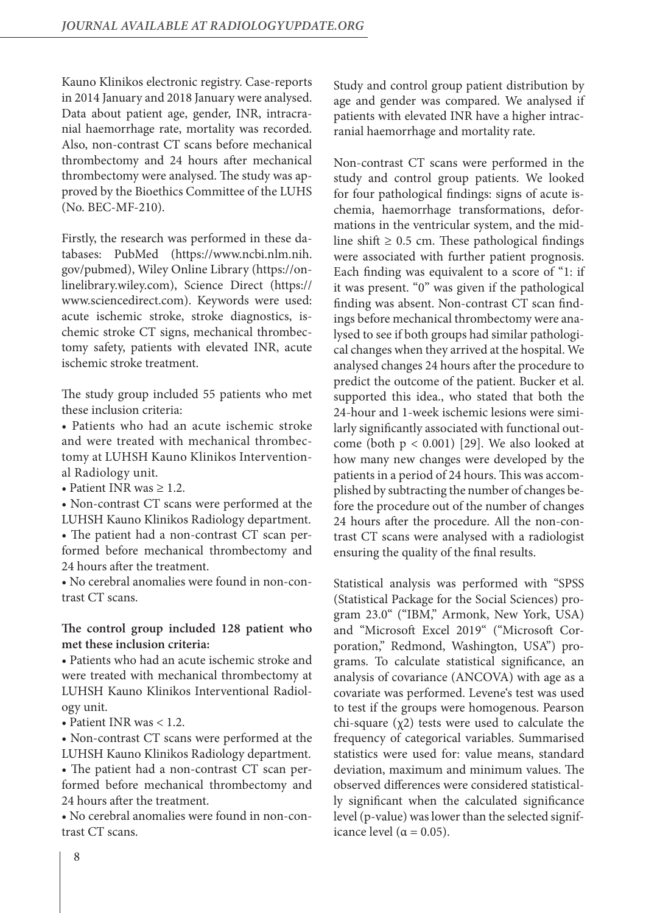Kauno Klinikos electronic registry. Case-reports in 2014 January and 2018 January were analysed. Data about patient age, gender, INR, intracranial haemorrhage rate, mortality was recorded. Also, non-contrast CT scans before mechanical thrombectomy and 24 hours after mechanical thrombectomy were analysed. The study was approved by the Bioethics Committee of the LUHS (No. BEC-MF-210).

Firstly, the research was performed in these databases: PubMed (https://www.ncbi.nlm.nih. gov/pubmed), Wiley Online Library (https://onlinelibrary.wiley.com), Science Direct (https:// www.sciencedirect.com). Keywords were used: acute ischemic stroke, stroke diagnostics, ischemic stroke CT signs, mechanical thrombectomy safety, patients with elevated INR, acute ischemic stroke treatment.

The study group included 55 patients who met these inclusion criteria:

• Patients who had an acute ischemic stroke and were treated with mechanical thrombectomy at LUHSH Kauno Klinikos Interventional Radiology unit.

• Patient INR was  $\geq 1.2$ .

• Non-contrast CT scans were performed at the LUHSH Kauno Klinikos Radiology department.

• The patient had a non-contrast CT scan performed before mechanical thrombectomy and 24 hours after the treatment.

• No cerebral anomalies were found in non-contrast CT scans.

# **The control group included 128 patient who met these inclusion criteria:**

• Patients who had an acute ischemic stroke and were treated with mechanical thrombectomy at LUHSH Kauno Klinikos Interventional Radiology unit.

• Patient INR was < 1.2.

• Non-contrast CT scans were performed at the LUHSH Kauno Klinikos Radiology department.

• The patient had a non-contrast CT scan performed before mechanical thrombectomy and 24 hours after the treatment.

• No cerebral anomalies were found in non-contrast CT scans.

Study and control group patient distribution by age and gender was compared. We analysed if patients with elevated INR have a higher intracranial haemorrhage and mortality rate.

Non-contrast CT scans were performed in the study and control group patients. We looked for four pathological findings: signs of acute ischemia, haemorrhage transformations, deformations in the ventricular system, and the midline shift  $\geq 0.5$  cm. These pathological findings were associated with further patient prognosis. Each finding was equivalent to a score of "1: if it was present. "0" was given if the pathological finding was absent. Non-contrast CT scan findings before mechanical thrombectomy were analysed to see if both groups had similar pathological changes when they arrived at the hospital. We analysed changes 24 hours after the procedure to predict the outcome of the patient. Bucker et al. supported this idea., who stated that both the 24-hour and 1-week ischemic lesions were similarly significantly associated with functional outcome (both  $p < 0.001$ ) [29]. We also looked at how many new changes were developed by the patients in a period of 24 hours. This was accomplished by subtracting the number of changes before the procedure out of the number of changes 24 hours after the procedure. All the non-contrast CT scans were analysed with a radiologist ensuring the quality of the final results.

Statistical analysis was performed with "SPSS (Statistical Package for the Social Sciences) program 23.0" ("IBM," Armonk, New York, USA) and "Microsoft Excel 2019" ("Microsoft Corporation," Redmond, Washington, USA") programs. To calculate statistical significance, an analysis of covariance (ANCOVA) with age as a covariate was performed. Levene's test was used to test if the groups were homogenous. Pearson chi-square  $(χ2)$  tests were used to calculate the frequency of categorical variables. Summarised statistics were used for: value means, standard deviation, maximum and minimum values. The observed differences were considered statistically significant when the calculated significance level (p-value) was lower than the selected significance level ( $\alpha = 0.05$ ).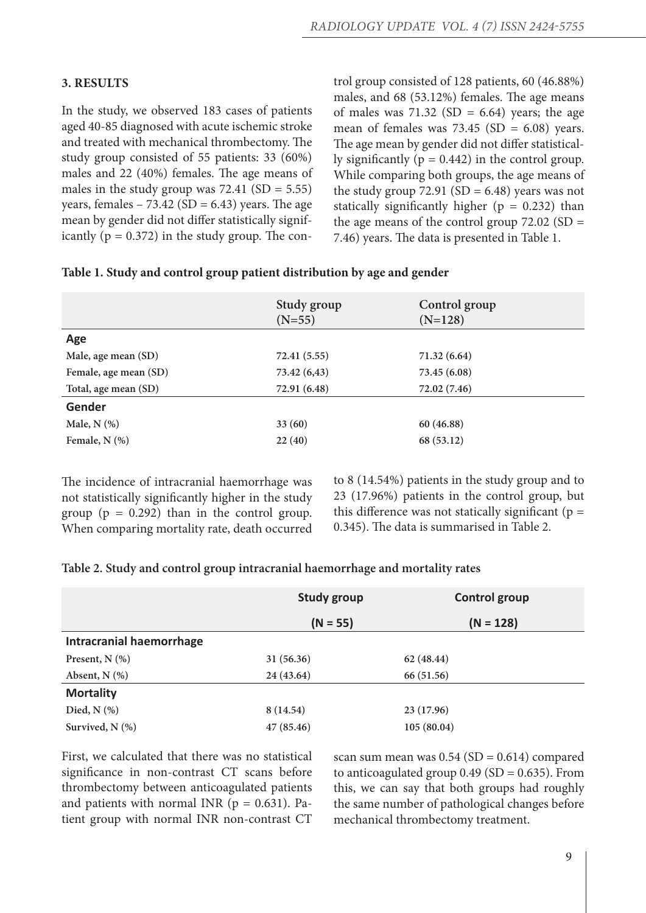# **3. RESULTS**

In the study, we observed 183 cases of patients aged 40-85 diagnosed with acute ischemic stroke and treated with mechanical thrombectomy. The study group consisted of 55 patients: 33 (60%) males and 22 (40%) females. The age means of males in the study group was  $72.41$  (SD = 5.55) years, females – 73.42 ( $SD = 6.43$ ) years. The age mean by gender did not differ statistically significantly  $(p = 0.372)$  in the study group. The con-

trol group consisted of 128 patients, 60 (46.88%) males, and 68 (53.12%) females. The age means of males was 71.32 (SD = 6.64) years; the age mean of females was  $73.45$  (SD = 6.08) years. The age mean by gender did not differ statistically significantly ( $p = 0.442$ ) in the control group. While comparing both groups, the age means of the study group  $72.91$  (SD = 6.48) years was not statically significantly higher ( $p = 0.232$ ) than the age means of the control group  $72.02$  (SD = 7.46) years. The data is presented in Table 1.

# **Table 1. Study and control group patient distribution by age and gender**

| Control group<br>$(N=128)$ |
|----------------------------|
|                            |
| 71.32 (6.64)               |
| 73.45 (6.08)               |
| 72.02 (7.46)               |
|                            |
| 60 (46.88)                 |
| 68 (53.12)                 |
|                            |

The incidence of intracranial haemorrhage was not statistically significantly higher in the study group ( $p = 0.292$ ) than in the control group. When comparing mortality rate, death occurred

to 8 (14.54%) patients in the study group and to 23 (17.96%) patients in the control group, but this difference was not statically significant ( $p =$ 0.345). The data is summarised in Table 2.

|  |  | Table 2. Study and control group intracranial haemorrhage and mortality rates |  |  |
|--|--|-------------------------------------------------------------------------------|--|--|
|  |  |                                                                               |  |  |

|                                 | <b>Study group</b> | <b>Control group</b> |  |
|---------------------------------|--------------------|----------------------|--|
|                                 | $(N = 55)$         | $(N = 128)$          |  |
| <b>Intracranial haemorrhage</b> |                    |                      |  |
| Present, $N$ (%)                | 31 (56.36)         | 62 (48.44)           |  |
| Absent, $N$ $(\%)$              | 24 (43.64)         | 66 (51.56)           |  |
| <b>Mortality</b>                |                    |                      |  |
| Died, $N$ $(\%)$                | 8 (14.54)          | 23 (17.96)           |  |
| Survived, $N$ $(\%)$            | 47(85.46)          | 105(80.04)           |  |

First, we calculated that there was no statistical significance in non-contrast CT scans before thrombectomy between anticoagulated patients and patients with normal INR  $(p = 0.631)$ . Patient group with normal INR non-contrast CT

scan sum mean was  $0.54$  (SD = 0.614) compared to anticoagulated group  $0.49$  (SD = 0.635). From this, we can say that both groups had roughly the same number of pathological changes before mechanical thrombectomy treatment.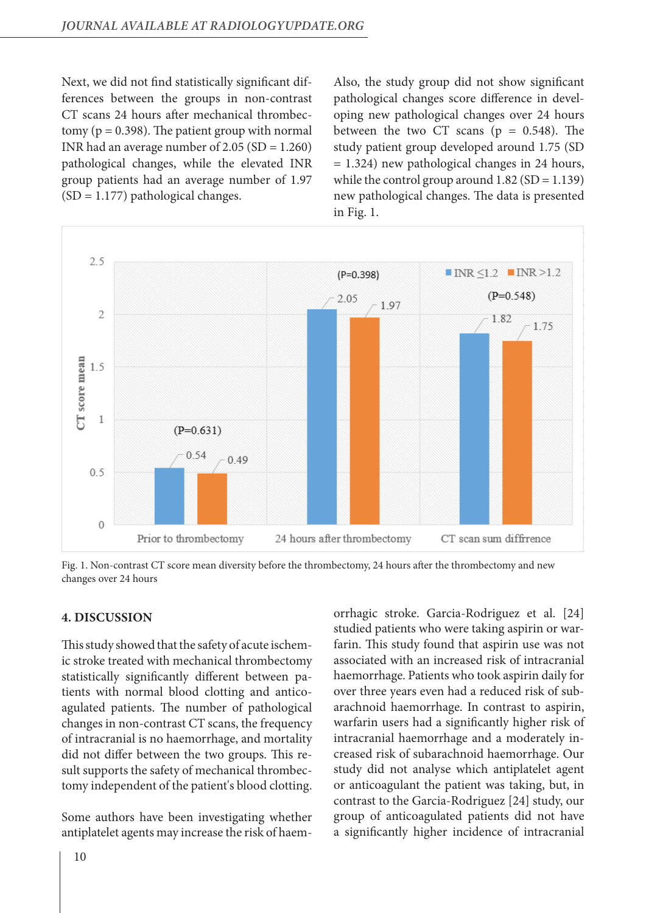Next, we did not find statistically significant differences between the groups in non-contrast CT scans 24 hours after mechanical thrombectomy ( $p = 0.398$ ). The patient group with normal INR had an average number of  $2.05$  (SD =  $1.260$ ) pathological changes, while the elevated INR group patients had an average number of 1.97  $(SD = 1.177)$  pathological changes.

Also, the study group did not show significant pathological changes score difference in developing new pathological changes over 24 hours between the two CT scans ( $p = 0.548$ ). The study patient group developed around 1.75 (SD = 1.324) new pathological changes in 24 hours, while the control group around  $1.82$  (SD = 1.139) new pathological changes. The data is presented in Fig. 1.



Fig. 1. Non-contrast CT score mean diversity before the thrombectomy, 24 hours after the thrombectomy and new changes over 24 hours

### **4. DISCUSSION**

This study showed that the safety of acute ischemic stroke treated with mechanical thrombectomy statistically significantly different between patients with normal blood clotting and anticoagulated patients. The number of pathological changes in non-contrast CT scans, the frequency of intracranial is no haemorrhage, and mortality did not differ between the two groups. This result supports the safety of mechanical thrombectomy independent of the patient's blood clotting.

Some authors have been investigating whether antiplatelet agents may increase the risk of haemorrhagic stroke. Garcia-Rodriguez et al. [24] studied patients who were taking aspirin or warfarin. This study found that aspirin use was not associated with an increased risk of intracranial haemorrhage. Patients who took aspirin daily for over three years even had a reduced risk of subarachnoid haemorrhage. In contrast to aspirin, warfarin users had a significantly higher risk of intracranial haemorrhage and a moderately increased risk of subarachnoid haemorrhage. Our study did not analyse which antiplatelet agent or anticoagulant the patient was taking, but, in contrast to the Garcia-Rodriguez [24] study, our group of anticoagulated patients did not have a significantly higher incidence of intracranial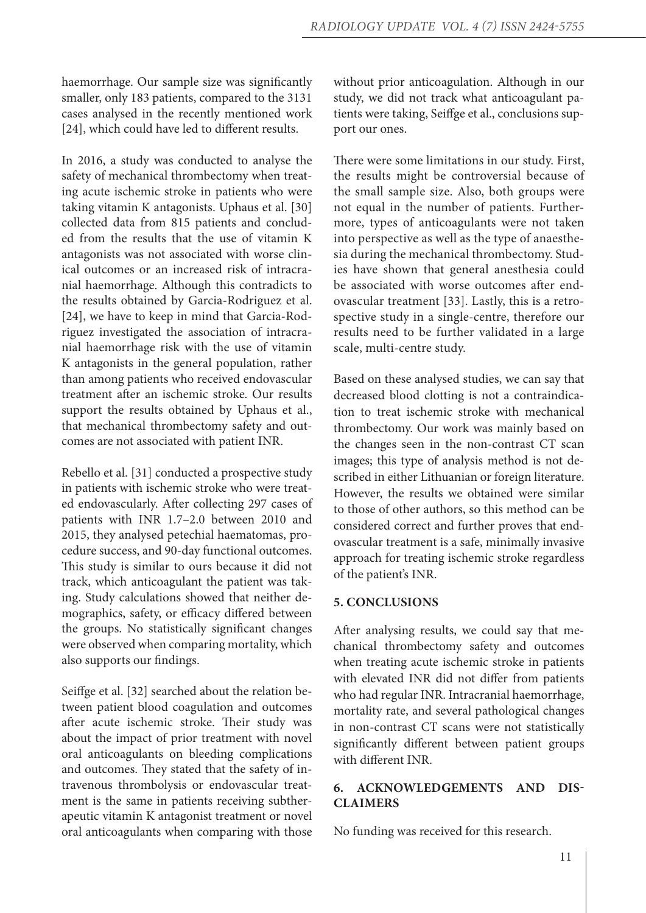haemorrhage. Our sample size was significantly smaller, only 183 patients, compared to the 3131 cases analysed in the recently mentioned work [24], which could have led to different results.

In 2016, a study was conducted to analyse the safety of mechanical thrombectomy when treating acute ischemic stroke in patients who were taking vitamin K antagonists. Uphaus et al. [30] collected data from 815 patients and concluded from the results that the use of vitamin K antagonists was not associated with worse clinical outcomes or an increased risk of intracranial haemorrhage. Although this contradicts to the results obtained by Garcia-Rodriguez et al. [24], we have to keep in mind that Garcia-Rodriguez investigated the association of intracranial haemorrhage risk with the use of vitamin K antagonists in the general population, rather than among patients who received endovascular treatment after an ischemic stroke. Our results support the results obtained by Uphaus et al., that mechanical thrombectomy safety and outcomes are not associated with patient INR.

Rebello et al. [31] conducted a prospective study in patients with ischemic stroke who were treated endovascularly. After collecting 297 cases of patients with INR 1.7–2.0 between 2010 and 2015, they analysed petechial haematomas, procedure success, and 90-day functional outcomes. This study is similar to ours because it did not track, which anticoagulant the patient was taking. Study calculations showed that neither demographics, safety, or efficacy differed between the groups. No statistically significant changes were observed when comparing mortality, which also supports our findings.

Seiffge et al. [32] searched about the relation between patient blood coagulation and outcomes after acute ischemic stroke. Their study was about the impact of prior treatment with novel oral anticoagulants on bleeding complications and outcomes. They stated that the safety of intravenous thrombolysis or endovascular treatment is the same in patients receiving subtherapeutic vitamin K antagonist treatment or novel oral anticoagulants when comparing with those

without prior anticoagulation. Although in our study, we did not track what anticoagulant patients were taking, Seiffge et al., conclusions support our ones.

There were some limitations in our study. First, the results might be controversial because of the small sample size. Also, both groups were not equal in the number of patients. Furthermore, types of anticoagulants were not taken into perspective as well as the type of anaesthesia during the mechanical thrombectomy. Studies have shown that general anesthesia could be associated with worse outcomes after endovascular treatment [33]. Lastly, this is a retrospective study in a single-centre, therefore our results need to be further validated in a large scale, multi-centre study.

Based on these analysed studies, we can say that decreased blood clotting is not a contraindication to treat ischemic stroke with mechanical thrombectomy. Our work was mainly based on the changes seen in the non-contrast CT scan images; this type of analysis method is not described in either Lithuanian or foreign literature. However, the results we obtained were similar to those of other authors, so this method can be considered correct and further proves that endovascular treatment is a safe, minimally invasive approach for treating ischemic stroke regardless of the patient's INR.

### **5. CONCLUSIONS**

After analysing results, we could say that mechanical thrombectomy safety and outcomes when treating acute ischemic stroke in patients with elevated INR did not differ from patients who had regular INR. Intracranial haemorrhage, mortality rate, and several pathological changes in non-contrast CT scans were not statistically significantly different between patient groups with different INR.

# **6. ACKNOWLEDGEMENTS AND DIS-CLAIMERS**

No funding was received for this research.